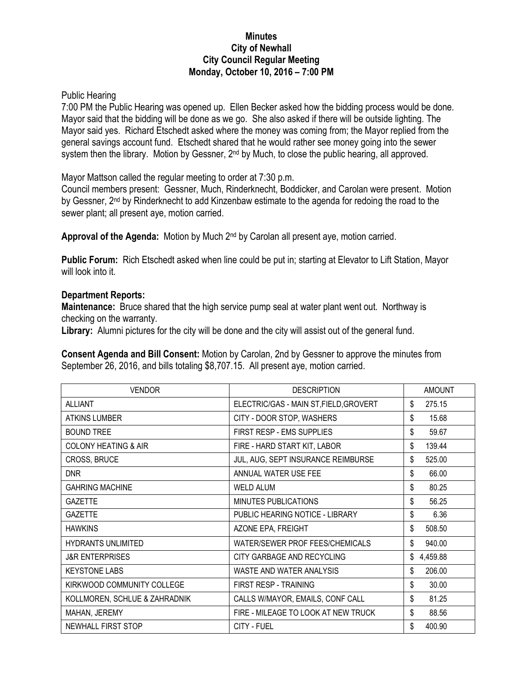## **Minutes City of Newhall City Council Regular Meeting Monday, October 10, 2016 – 7:00 PM**

## Public Hearing

7:00 PM the Public Hearing was opened up. Ellen Becker asked how the bidding process would be done. Mayor said that the bidding will be done as we go. She also asked if there will be outside lighting. The Mayor said yes. Richard Etschedt asked where the money was coming from; the Mayor replied from the general savings account fund. Etschedt shared that he would rather see money going into the sewer system then the library. Motion by Gessner, 2<sup>nd</sup> by Much, to close the public hearing, all approved.

Mayor Mattson called the regular meeting to order at 7:30 p.m.

Council members present: Gessner, Much, Rinderknecht, Boddicker, and Carolan were present. Motion by Gessner, 2<sup>nd</sup> by Rinderknecht to add Kinzenbaw estimate to the agenda for redoing the road to the sewer plant; all present aye, motion carried.

Approval of the Agenda: Motion by Much 2<sup>nd</sup> by Carolan all present aye, motion carried.

**Public Forum:** Rich Etschedt asked when line could be put in; starting at Elevator to Lift Station, Mayor will look into it.

## **Department Reports:**

**Maintenance:** Bruce shared that the high service pump seal at water plant went out. Northway is checking on the warranty.

**Library:** Alumni pictures for the city will be done and the city will assist out of the general fund.

**Consent Agenda and Bill Consent:** Motion by Carolan, 2nd by Gessner to approve the minutes from September 26, 2016, and bills totaling \$8,707.15. All present aye, motion carried.

| <b>VENDOR</b>                   | <b>DESCRIPTION</b>                     | <b>AMOUNT</b>  |
|---------------------------------|----------------------------------------|----------------|
| <b>ALLIANT</b>                  | ELECTRIC/GAS - MAIN ST, FIELD, GROVERT | \$<br>275.15   |
| <b>ATKINS LUMBER</b>            | CITY - DOOR STOP, WASHERS              | \$<br>15.68    |
| <b>BOUND TREE</b>               | FIRST RESP - EMS SUPPLIES              | \$<br>59.67    |
| <b>COLONY HEATING &amp; AIR</b> | FIRE - HARD START KIT, LABOR           | \$<br>139.44   |
| CROSS, BRUCE                    | JUL, AUG, SEPT INSURANCE REIMBURSE     | \$<br>525.00   |
| <b>DNR</b>                      | ANNUAL WATER USE FEE                   | \$<br>66.00    |
| <b>GAHRING MACHINE</b>          | <b>WELD ALUM</b>                       | \$<br>80.25    |
| <b>GAZETTE</b>                  | MINUTES PUBLICATIONS                   | \$<br>56.25    |
| <b>GAZETTE</b>                  | PUBLIC HEARING NOTICE - LIBRARY        | \$<br>6.36     |
| <b>HAWKINS</b>                  | AZONE EPA, FREIGHT                     | \$<br>508.50   |
| <b>HYDRANTS UNLIMITED</b>       | WATER/SEWER PROF FEES/CHEMICALS        | \$<br>940.00   |
| <b>J&amp;R ENTERPRISES</b>      | CITY GARBAGE AND RECYCLING             | \$<br>4,459.88 |
| <b>KEYSTONE LABS</b>            | WASTE AND WATER ANALYSIS               | \$<br>206.00   |
| KIRKWOOD COMMUNITY COLLEGE      | FIRST RESP - TRAINING                  | \$<br>30.00    |
| KOLLMOREN, SCHLUE & ZAHRADNIK   | CALLS W/MAYOR, EMAILS, CONF CALL       | \$<br>81.25    |
| MAHAN, JEREMY                   | FIRE - MILEAGE TO LOOK AT NEW TRUCK    | \$<br>88.56    |
| NEWHALL FIRST STOP              | CITY - FUEL                            | \$<br>400.90   |